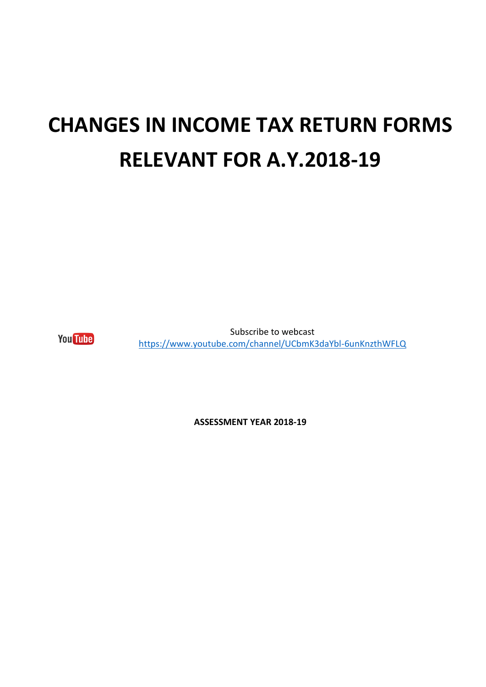## **CHANGES IN INCOME TAX RETURN FORMS RELEVANT FOR A.Y.2018-19**

**You** Tube

Subscribe to webcast <https://www.youtube.com/channel/UCbmK3daYbl-6unKnzthWFLQ>

**ASSESSMENT YEAR 2018-19**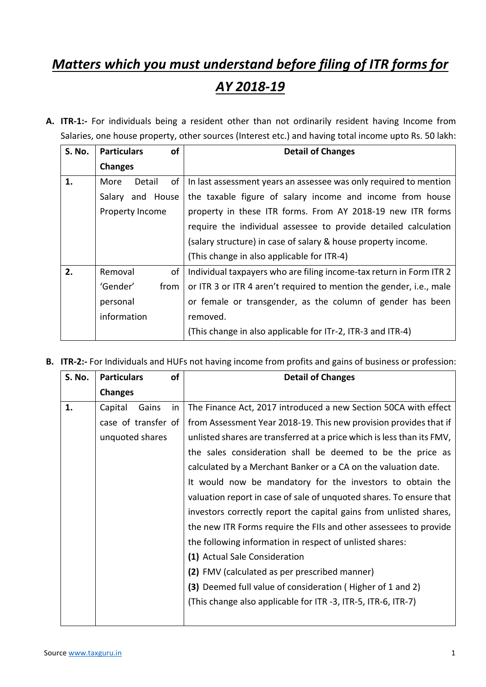## *Matters which you must understand before filing of ITR forms for AY 2018-19*

**A. ITR-1:-** For individuals being a resident other than not ordinarily resident having Income from Salaries, one house property, other sources (Interest etc.) and having total income upto Rs. 50 lakh:

| <b>S. No.</b> | <b>Particulars</b><br><b>of</b> |          | <b>Detail of Changes</b>                                            |
|---------------|---------------------------------|----------|---------------------------------------------------------------------|
|               | <b>Changes</b>                  |          |                                                                     |
| 1.            | of<br>More<br>Detail            |          | In last assessment years an assessee was only required to mention   |
|               | and House<br>Salary             |          | the taxable figure of salary income and income from house           |
|               | Property Income                 |          | property in these ITR forms. From AY 2018-19 new ITR forms          |
|               |                                 |          | require the individual assessee to provide detailed calculation     |
|               |                                 |          | (salary structure) in case of salary & house property income.       |
|               |                                 |          | (This change in also applicable for ITR-4)                          |
| 2.            | Removal<br>of                   |          | Individual taxpayers who are filing income-tax return in Form ITR 2 |
|               | 'Gender'<br>from                |          | or ITR 3 or ITR 4 aren't required to mention the gender, i.e., male |
|               | personal                        |          | or female or transgender, as the column of gender has been          |
|               | information                     | removed. |                                                                     |
|               |                                 |          | (This change in also applicable for ITr-2, ITR-3 and ITR-4)         |

**B. ITR-2:-** For Individuals and HUFs not having income from profits and gains of business or profession:

| <b>S. No.</b> | <b>Particulars</b>  | of | <b>Detail of Changes</b>                                               |
|---------------|---------------------|----|------------------------------------------------------------------------|
|               | <b>Changes</b>      |    |                                                                        |
| 1.            | Capital<br>Gains    | in | The Finance Act, 2017 introduced a new Section 50CA with effect        |
|               | case of transfer of |    | from Assessment Year 2018-19. This new provision provides that if      |
|               | unquoted shares     |    | unlisted shares are transferred at a price which is less than its FMV, |
|               |                     |    | the sales consideration shall be deemed to be the price as             |
|               |                     |    | calculated by a Merchant Banker or a CA on the valuation date.         |
|               |                     |    | It would now be mandatory for the investors to obtain the              |
|               |                     |    | valuation report in case of sale of unquoted shares. To ensure that    |
|               |                     |    | investors correctly report the capital gains from unlisted shares,     |
|               |                     |    | the new ITR Forms require the FIIs and other assessees to provide      |
|               |                     |    | the following information in respect of unlisted shares:               |
|               |                     |    | (1) Actual Sale Consideration                                          |
|               |                     |    | (2) FMV (calculated as per prescribed manner)                          |
|               |                     |    | (3) Deemed full value of consideration (Higher of 1 and 2)             |
|               |                     |    | (This change also applicable for ITR -3, ITR-5, ITR-6, ITR-7)          |
|               |                     |    |                                                                        |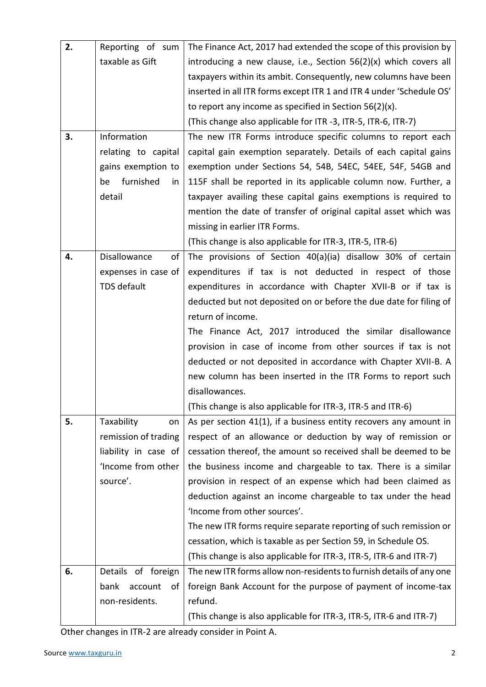| 2. | Reporting of sum      | The Finance Act, 2017 had extended the scope of this provision by    |
|----|-----------------------|----------------------------------------------------------------------|
|    | taxable as Gift       | introducing a new clause, i.e., Section $56(2)(x)$ which covers all  |
|    |                       | taxpayers within its ambit. Consequently, new columns have been      |
|    |                       | inserted in all ITR forms except ITR 1 and ITR 4 under 'Schedule OS' |
|    |                       | to report any income as specified in Section $56(2)(x)$ .            |
|    |                       | (This change also applicable for ITR -3, ITR-5, ITR-6, ITR-7)        |
| 3. | Information           | The new ITR Forms introduce specific columns to report each          |
|    | relating to capital   | capital gain exemption separately. Details of each capital gains     |
|    | gains exemption to    | exemption under Sections 54, 54B, 54EC, 54EE, 54F, 54GB and          |
|    | furnished<br>be<br>in | 115F shall be reported in its applicable column now. Further, a      |
|    | detail                | taxpayer availing these capital gains exemptions is required to      |
|    |                       | mention the date of transfer of original capital asset which was     |
|    |                       | missing in earlier ITR Forms.                                        |
|    |                       | (This change is also applicable for ITR-3, ITR-5, ITR-6)             |
| 4. | Disallowance<br>of    | The provisions of Section 40(a)(ia) disallow 30% of certain          |
|    | expenses in case of   | expenditures if tax is not deducted in respect of those              |
|    | TDS default           | expenditures in accordance with Chapter XVII-B or if tax is          |
|    |                       | deducted but not deposited on or before the due date for filing of   |
|    |                       | return of income.                                                    |
|    |                       | The Finance Act, 2017 introduced the similar disallowance            |
|    |                       | provision in case of income from other sources if tax is not         |
|    |                       | deducted or not deposited in accordance with Chapter XVII-B. A       |
|    |                       | new column has been inserted in the ITR Forms to report such         |
|    |                       | disallowances.                                                       |
|    |                       | (This change is also applicable for ITR-3, ITR-5 and ITR-6)          |
| 5. | Taxability<br>on      | As per section 41(1), if a business entity recovers any amount in    |
|    | remission of trading  | respect of an allowance or deduction by way of remission or          |
|    | liability in case of  | cessation thereof, the amount so received shall be deemed to be      |
|    | 'Income from other    | the business income and chargeable to tax. There is a similar        |
|    | source'.              | provision in respect of an expense which had been claimed as         |
|    |                       | deduction against an income chargeable to tax under the head         |
|    |                       | 'Income from other sources'.                                         |
|    |                       | The new ITR forms require separate reporting of such remission or    |
|    |                       | cessation, which is taxable as per Section 59, in Schedule OS.       |
|    |                       | (This change is also applicable for ITR-3, ITR-5, ITR-6 and ITR-7)   |
| 6. | Details of foreign    | The new ITR forms allow non-residents to furnish details of any one  |
|    | account<br>bank<br>οf | foreign Bank Account for the purpose of payment of income-tax        |
|    | non-residents.        | refund.                                                              |
|    |                       | (This change is also applicable for ITR-3, ITR-5, ITR-6 and ITR-7)   |

Other changes in ITR-2 are already consider in Point A.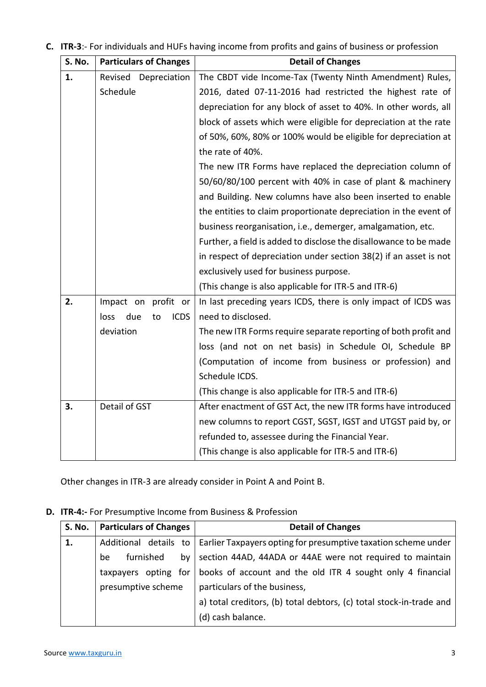| C. ITR-3:- For individuals and HUFs having income from profits and gains of business or profession |  |  |
|----------------------------------------------------------------------------------------------------|--|--|
|                                                                                                    |  |  |

| S. No. | <b>Particulars of Changes</b>    | <b>Detail of Changes</b>                                          |
|--------|----------------------------------|-------------------------------------------------------------------|
| 1.     | Revised<br>Depreciation          | The CBDT vide Income-Tax (Twenty Ninth Amendment) Rules,          |
|        | Schedule                         | 2016, dated 07-11-2016 had restricted the highest rate of         |
|        |                                  | depreciation for any block of asset to 40%. In other words, all   |
|        |                                  | block of assets which were eligible for depreciation at the rate  |
|        |                                  | of 50%, 60%, 80% or 100% would be eligible for depreciation at    |
|        |                                  | the rate of 40%.                                                  |
|        |                                  | The new ITR Forms have replaced the depreciation column of        |
|        |                                  | 50/60/80/100 percent with 40% in case of plant & machinery        |
|        |                                  | and Building. New columns have also been inserted to enable       |
|        |                                  | the entities to claim proportionate depreciation in the event of  |
|        |                                  | business reorganisation, i.e., demerger, amalgamation, etc.       |
|        |                                  | Further, a field is added to disclose the disallowance to be made |
|        |                                  | in respect of depreciation under section 38(2) if an asset is not |
|        |                                  | exclusively used for business purpose.                            |
|        |                                  | (This change is also applicable for ITR-5 and ITR-6)              |
| 2.     | profit or<br>Impact on           | In last preceding years ICDS, there is only impact of ICDS was    |
|        | <b>ICDS</b><br>due<br>loss<br>to | need to disclosed.                                                |
|        | deviation                        | The new ITR Forms require separate reporting of both profit and   |
|        |                                  | loss (and not on net basis) in Schedule OI, Schedule BP           |
|        |                                  | (Computation of income from business or profession) and           |
|        |                                  | Schedule ICDS.                                                    |
|        |                                  | (This change is also applicable for ITR-5 and ITR-6)              |
| 3.     | Detail of GST                    | After enactment of GST Act, the new ITR forms have introduced     |
|        |                                  | new columns to report CGST, SGST, IGST and UTGST paid by, or      |
|        |                                  | refunded to, assessee during the Financial Year.                  |
|        |                                  | (This change is also applicable for ITR-5 and ITR-6)              |

Other changes in ITR-3 are already consider in Point A and Point B.

## **D. ITR-4:-** For Presumptive Income from Business & Profession

| <b>S. No.</b> | <b>Particulars of Changes</b> | <b>Detail of Changes</b>                                                               |
|---------------|-------------------------------|----------------------------------------------------------------------------------------|
| 1.            |                               | Additional details to   Earlier Taxpayers opting for presumptive taxation scheme under |
|               | furnished<br>be<br>by         | section 44AD, 44ADA or 44AE were not required to maintain                              |
|               |                               | taxpayers opting for   books of account and the old ITR 4 sought only 4 financial      |
|               | presumptive scheme            | particulars of the business,                                                           |
|               |                               | a) total creditors, (b) total debtors, (c) total stock-in-trade and                    |
|               |                               | (d) cash balance.                                                                      |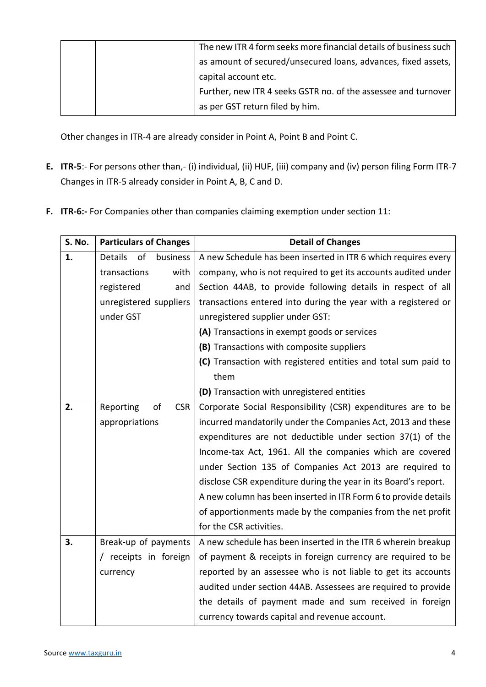|  | The new ITR 4 form seeks more financial details of business such |
|--|------------------------------------------------------------------|
|  | as amount of secured/unsecured loans, advances, fixed assets,    |
|  | capital account etc.                                             |
|  | Further, new ITR 4 seeks GSTR no. of the assessee and turnover   |
|  | as per GST return filed by him.                                  |

Other changes in ITR-4 are already consider in Point A, Point B and Point C.

- **E. ITR-5**:- For persons other than,- (i) individual, (ii) HUF, (iii) company and (iv) person filing Form ITR-7 Changes in ITR-5 already consider in Point A, B, C and D.
- **F. ITR-6:-** For Companies other than companies claiming exemption under section 11:

| <b>S. No.</b> | <b>Particulars of Changes</b>    | <b>Detail of Changes</b>                                        |
|---------------|----------------------------------|-----------------------------------------------------------------|
| 1.            | of<br><b>Details</b><br>business | A new Schedule has been inserted in ITR 6 which requires every  |
|               | transactions<br>with             | company, who is not required to get its accounts audited under  |
|               | registered<br>and                | Section 44AB, to provide following details in respect of all    |
|               | unregistered suppliers           | transactions entered into during the year with a registered or  |
|               | under GST                        | unregistered supplier under GST:                                |
|               |                                  | (A) Transactions in exempt goods or services                    |
|               |                                  | (B) Transactions with composite suppliers                       |
|               |                                  | (C) Transaction with registered entities and total sum paid to  |
|               |                                  | them                                                            |
|               |                                  | (D) Transaction with unregistered entities                      |
| 2.            | of<br><b>CSR</b><br>Reporting    | Corporate Social Responsibility (CSR) expenditures are to be    |
|               | appropriations                   | incurred mandatorily under the Companies Act, 2013 and these    |
|               |                                  | expenditures are not deductible under section 37(1) of the      |
|               |                                  | Income-tax Act, 1961. All the companies which are covered       |
|               |                                  | under Section 135 of Companies Act 2013 are required to         |
|               |                                  | disclose CSR expenditure during the year in its Board's report. |
|               |                                  | A new column has been inserted in ITR Form 6 to provide details |
|               |                                  | of apportionments made by the companies from the net profit     |
|               |                                  | for the CSR activities.                                         |
| 3.            | Break-up of payments             | A new schedule has been inserted in the ITR 6 wherein breakup   |
|               | / receipts in foreign            | of payment & receipts in foreign currency are required to be    |
|               | currency                         | reported by an assessee who is not liable to get its accounts   |
|               |                                  | audited under section 44AB. Assessees are required to provide   |
|               |                                  | the details of payment made and sum received in foreign         |
|               |                                  | currency towards capital and revenue account.                   |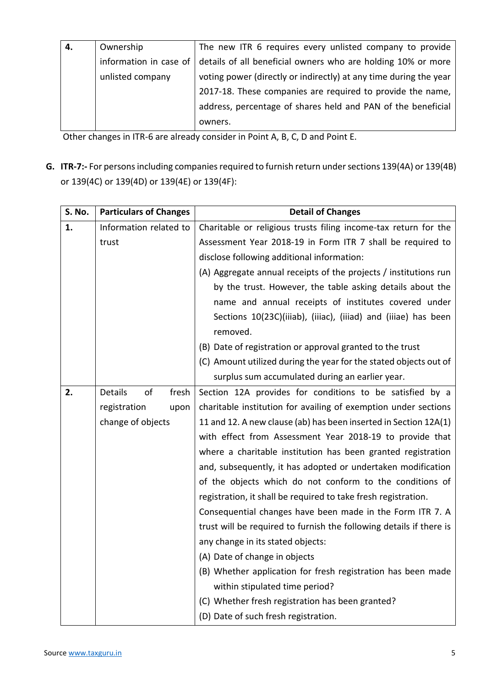| 4. | Ownership        | The new ITR 6 requires every unlisted company to provide                            |
|----|------------------|-------------------------------------------------------------------------------------|
|    |                  | information in case of details of all beneficial owners who are holding 10% or more |
|    | unlisted company | voting power (directly or indirectly) at any time during the year                   |
|    |                  | 2017-18. These companies are required to provide the name,                          |
|    |                  | address, percentage of shares held and PAN of the beneficial                        |
|    |                  | owners.                                                                             |

Other changes in ITR-6 are already consider in Point A, B, C, D and Point E.

**G. ITR-7:-** For persons including companies required to furnish return under sections 139(4A) or 139(4B) or 139(4C) or 139(4D) or 139(4E) or 139(4F):

| S. No. | <b>Particulars of Changes</b> | <b>Detail of Changes</b>                                                   |
|--------|-------------------------------|----------------------------------------------------------------------------|
| 1.     | Information related to        | Charitable or religious trusts filing income-tax return for the            |
|        | trust                         | Assessment Year 2018-19 in Form ITR 7 shall be required to                 |
|        |                               | disclose following additional information:                                 |
|        |                               | (A) Aggregate annual receipts of the projects / institutions run           |
|        |                               | by the trust. However, the table asking details about the                  |
|        |                               | name and annual receipts of institutes covered under                       |
|        |                               | Sections 10(23C)(iiiab), (iiiac), (iiiad) and (iiiae) has been<br>removed. |
|        |                               |                                                                            |
|        |                               | (B) Date of registration or approval granted to the trust                  |
|        |                               | (C) Amount utilized during the year for the stated objects out of          |
|        |                               | surplus sum accumulated during an earlier year.                            |
| 2.     | Details<br>of<br>fresh        | Section 12A provides for conditions to be satisfied by a                   |
|        | registration<br>upon          | charitable institution for availing of exemption under sections            |
|        | change of objects             | 11 and 12. A new clause (ab) has been inserted in Section 12A(1)           |
|        |                               | with effect from Assessment Year 2018-19 to provide that                   |
|        |                               | where a charitable institution has been granted registration               |
|        |                               | and, subsequently, it has adopted or undertaken modification               |
|        |                               | of the objects which do not conform to the conditions of                   |
|        |                               | registration, it shall be required to take fresh registration.             |
|        |                               | Consequential changes have been made in the Form ITR 7. A                  |
|        |                               | trust will be required to furnish the following details if there is        |
|        |                               | any change in its stated objects:                                          |
|        |                               | (A) Date of change in objects                                              |
|        |                               | (B) Whether application for fresh registration has been made               |
|        |                               | within stipulated time period?                                             |
|        |                               | (C) Whether fresh registration has been granted?                           |
|        |                               | (D) Date of such fresh registration.                                       |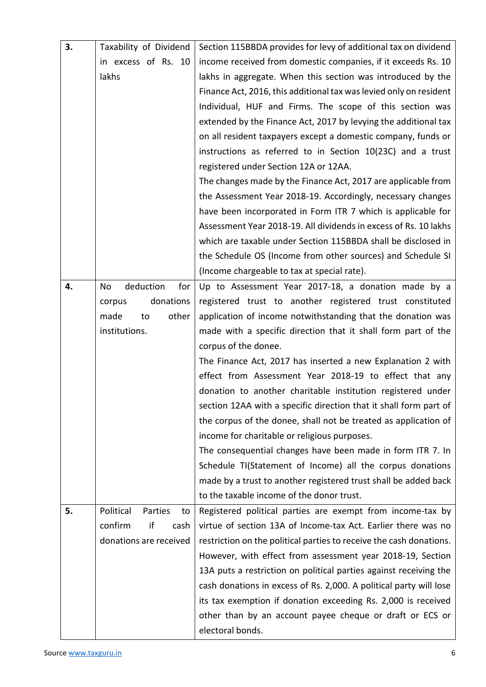| 3. | Taxability of Dividend     | Section 115BBDA provides for levy of additional tax on dividend     |
|----|----------------------------|---------------------------------------------------------------------|
|    | in excess of Rs. 10        | income received from domestic companies, if it exceeds Rs. 10       |
|    | lakhs                      | lakhs in aggregate. When this section was introduced by the         |
|    |                            | Finance Act, 2016, this additional tax was levied only on resident  |
|    |                            | Individual, HUF and Firms. The scope of this section was            |
|    |                            | extended by the Finance Act, 2017 by levying the additional tax     |
|    |                            | on all resident taxpayers except a domestic company, funds or       |
|    |                            | instructions as referred to in Section 10(23C) and a trust          |
|    |                            | registered under Section 12A or 12AA.                               |
|    |                            | The changes made by the Finance Act, 2017 are applicable from       |
|    |                            | the Assessment Year 2018-19. Accordingly, necessary changes         |
|    |                            | have been incorporated in Form ITR 7 which is applicable for        |
|    |                            | Assessment Year 2018-19. All dividends in excess of Rs. 10 lakhs    |
|    |                            | which are taxable under Section 115BBDA shall be disclosed in       |
|    |                            | the Schedule OS (Income from other sources) and Schedule SI         |
|    |                            | (Income chargeable to tax at special rate).                         |
| 4. | deduction<br>for<br>No     | Up to Assessment Year 2017-18, a donation made by a                 |
|    | donations<br>corpus        | registered trust to another registered trust constituted            |
|    | made<br>other<br>to        | application of income notwithstanding that the donation was         |
|    | institutions.              | made with a specific direction that it shall form part of the       |
|    |                            | corpus of the donee.                                                |
|    |                            | The Finance Act, 2017 has inserted a new Explanation 2 with         |
|    |                            | effect from Assessment Year 2018-19 to effect that any              |
|    |                            | donation to another charitable institution registered under         |
|    |                            | section 12AA with a specific direction that it shall form part of   |
|    |                            | the corpus of the donee, shall not be treated as application of     |
|    |                            | income for charitable or religious purposes.                        |
|    |                            | The consequential changes have been made in form ITR 7. In          |
|    |                            | Schedule TI(Statement of Income) all the corpus donations           |
|    |                            | made by a trust to another registered trust shall be added back     |
|    |                            | to the taxable income of the donor trust.                           |
| 5. | Political<br>Parties<br>to | Registered political parties are exempt from income-tax by          |
|    | if<br>confirm<br>cash      | virtue of section 13A of Income-tax Act. Earlier there was no       |
|    | donations are received     | restriction on the political parties to receive the cash donations. |
|    |                            | However, with effect from assessment year 2018-19, Section          |
|    |                            | 13A puts a restriction on political parties against receiving the   |
|    |                            | cash donations in excess of Rs. 2,000. A political party will lose  |
|    |                            | its tax exemption if donation exceeding Rs. 2,000 is received       |
|    |                            | other than by an account payee cheque or draft or ECS or            |
|    |                            | electoral bonds.                                                    |